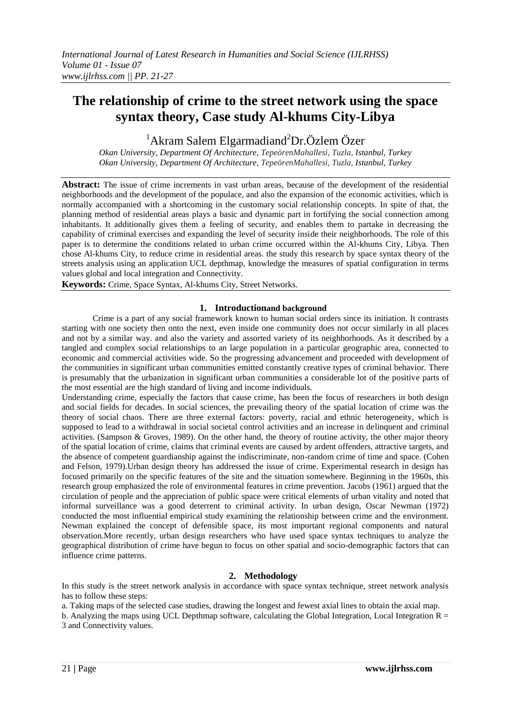# **The relationship of crime to the street network using the space syntax theory, Case study Al-khums City-Libya**

 $1$ Akram Salem Elgarmadiand<sup>2</sup>Dr.Özlem Özer

*Okan University, Department Of Architecture, TepeörenMahallesi, Tuzla, Istanbul, Turkey Okan University, Department Of Architecture, TepeörenMahallesi, Tuzla, Istanbul, Turkey*

**Abstract:** The issue of crime increments in vast urban areas, because of the development of the residential neighborhoods and the development of the populace, and also the expansion of the economic activities, which is normally accompanied with a shortcoming in the customary social relationship concepts. In spite of that, the planning method of residential areas plays a basic and dynamic part in fortifying the social connection among inhabitants. It additionally gives them a feeling of security, and enables them to partake in decreasing the capability of criminal exercises and expanding the level of security inside their neighborhoods. The role of this paper is to determine the conditions related to urban crime occurred within the Al-khums City, Libya. Then chose Al-khums City, to reduce crime in residential areas. the study this research by space syntax theory of the streets analysis using an application UCL depthmap, knowledge the measures of spatial configuration in terms values global and local integration and Connectivity.

**Keywords:** Crime, Space Syntax, Al-khums City, Street Networks.

# **1. Introductionand background**

Crime is a part of any social framework known to human social orders since its initiation. It contrasts starting with one society then onto the next, even inside one community does not occur similarly in all places and not by a similar way. and also the variety and assorted variety of its neighborhoods. As it described by a tangled and complex social relationships to an large population in a particular geographic area, connected to economic and commercial activities wide. So the progressing advancement and proceeded with development of the communities in significant urban communities emitted constantly creative types of criminal behavior. There is presumably that the urbanization in significant urban communities a considerable lot of the positive parts of the most essential are the high standard of living and income individuals.

Understanding crime, especially the factors that cause crime, has been the focus of researchers in both design and social fields for decades. In social sciences, the prevailing theory of the spatial location of crime was the theory of social chaos. There are three external factors: poverty, racial and ethnic heterogeneity, which is supposed to lead to a withdrawal in social societal control activities and an increase in delinquent and criminal activities. (Sampson & Groves, 1989). On the other hand, the theory of routine activity, the other major theory of the spatial location of crime, claims that criminal events are caused by ardent offenders, attractive targets, and the absence of competent guardianship against the indiscriminate, non-random crime of time and space. (Cohen and Felson, 1979).Urban design theory has addressed the issue of crime. Experimental research in design has focused primarily on the specific features of the site and the situation somewhere. Beginning in the 1960s, this research group emphasized the role of environmental features in crime prevention. Jacobs (1961) argued that the circulation of people and the appreciation of public space were critical elements of urban vitality and noted that informal surveillance was a good deterrent to criminal activity. In urban design, Oscar Newman (1972) conducted the most influential empirical study examining the relationship between crime and the environment. Newman explained the concept of defensible space, its most important regional components and natural observation.More recently, urban design researchers who have used space syntax techniques to analyze the geographical distribution of crime have begun to focus on other spatial and socio-demographic factors that can influence crime patterns.

# **2. Methodology**

In this study is the street network analysis in accordance with space syntax technique, street network analysis has to follow these steps:

a. Taking maps of the selected case studies, drawing the longest and fewest axial lines to obtain the axial map.

b. Analyzing the maps using UCL Depthmap software, calculating the Global Integration, Local Integration  $R =$ 3 and Connectivity values.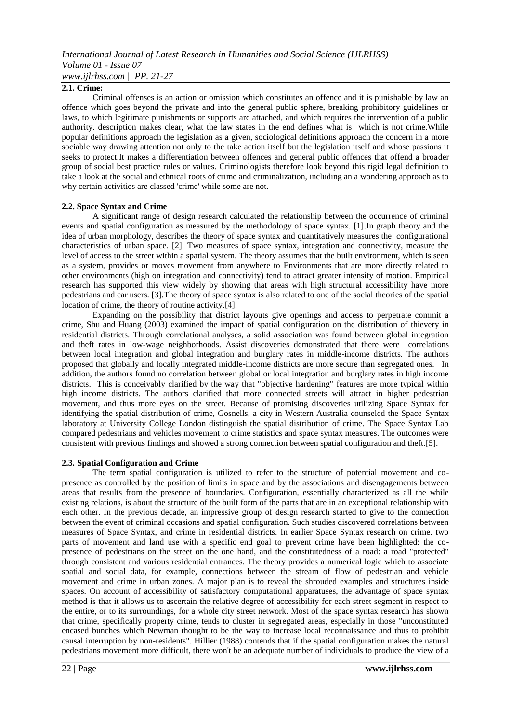## **2.1. Crime:**

Criminal offenses is an action or omission which constitutes an offence and it is punishable by law an offence which goes beyond the private and into the general public sphere, breaking prohibitory guidelines or laws, to which legitimate punishments or supports are attached, and which requires the intervention of a public authority. description makes clear, what the law states in the end defines what is which is not crime.While popular definitions approach the legislation as a given, sociological definitions approach the concern in a more sociable way drawing attention not only to the take action itself but the legislation itself and whose passions it seeks to protect.It makes a differentiation between offences and general public offences that offend a broader group of social best practice rules or values. Criminologists therefore look beyond this rigid legal definition to take a look at the social and ethnical roots of crime and criminalization, including an a wondering approach as to why certain activities are classed 'crime' while some are not.

#### **2.2. Space Syntax and Crime**

A significant range of design research calculated the relationship between the occurrence of criminal events and spatial configuration as measured by the methodology of space syntax. [1].In graph theory and the idea of urban morphology, describes the theory of space syntax and quantitatively measures the configurational characteristics of urban space. [2]. Two measures of space syntax, integration and connectivity, measure the level of access to the street within a spatial system. The theory assumes that the built environment, which is seen as a system, provides or moves movement from anywhere to Environments that are more directly related to other environments (high on integration and connectivity) tend to attract greater intensity of motion. Empirical research has supported this view widely by showing that areas with high structural accessibility have more pedestrians and car users. [3].The theory of space syntax is also related to one of the social theories of the spatial location of crime, the theory of routine activity.[4].

Expanding on the possibility that district layouts give openings and access to perpetrate commit a crime, Shu and Huang (2003) examined the impact of spatial configuration on the distribution of thievery in residential districts. Through correlational analyses, a solid association was found between global integration and theft rates in low-wage neighborhoods. Assist discoveries demonstrated that there were correlations between local integration and global integration and burglary rates in middle-income districts. The authors proposed that globally and locally integrated middle-income districts are more secure than segregated ones. In addition, the authors found no correlation between global or local integration and burglary rates in high income districts. This is conceivably clarified by the way that "objective hardening" features are more typical within high income districts. The authors clarified that more connected streets will attract in higher pedestrian movement, and thus more eyes on the street. Because of promising discoveries utilizing Space Syntax for identifying the spatial distribution of crime, Gosnells, a city in Western Australia counseled the Space Syntax laboratory at University College London distinguish the spatial distribution of crime. The Space Syntax Lab compared pedestrians and vehicles movement to crime statistics and space syntax measures. The outcomes were consistent with previous findings and showed a strong connection between spatial configuration and theft.[5].

#### **2.3. Spatial Configuration and Crime**

The term spatial configuration is utilized to refer to the structure of potential movement and copresence as controlled by the position of limits in space and by the associations and disengagements between areas that results from the presence of boundaries. Configuration, essentially characterized as all the while existing relations, is about the structure of the built form of the parts that are in an exceptional relationship with each other. In the previous decade, an impressive group of design research started to give to the connection between the event of criminal occasions and spatial configuration. Such studies discovered correlations between measures of Space Syntax, and crime in residential districts. In earlier Space Syntax research on crime. two parts of movement and land use with a specific end goal to prevent crime have been highlighted: the copresence of pedestrians on the street on the one hand, and the constitutedness of a road: a road "protected" through consistent and various residential entrances. The theory provides a numerical logic which to associate spatial and social data, for example, connections between the stream of flow of pedestrian and vehicle movement and crime in urban zones. A major plan is to reveal the shrouded examples and structures inside spaces. On account of accessibility of satisfactory computational apparatuses, the advantage of space syntax method is that it allows us to ascertain the relative degree of accessibility for each street segment in respect to the entire, or to its surroundings, for a whole city street network. Most of the space syntax research has shown that crime, specifically property crime, tends to cluster in segregated areas, especially in those "unconstituted encased bunches which Newman thought to be the way to increase local reconnaissance and thus to prohibit causal interruption by non-residents". Hillier (1988) contends that if the spatial configuration makes the natural pedestrians movement more difficult, there won't be an adequate number of individuals to produce the view of a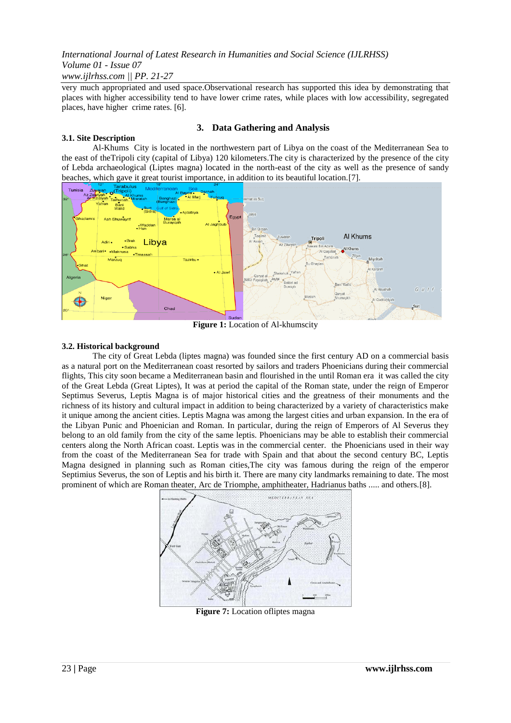very much appropriated and used space.Observational research has supported this idea by demonstrating that places with higher accessibility tend to have lower crime rates, while places with low accessibility, segregated places, have higher crime rates. [6].

# **3.1. Site Description**

# **3. Data Gathering and Analysis**

Al-Khums City is located in the northwestern part of Libya on the coast of the Mediterranean Sea to the east of theTripoli city (capital of Libya) 120 kilometers.The city is characterized by the presence of the city of Lebda archaeological (Liptes magna) located in the north-east of the city as well as the presence of sandy beaches, which gave it great tourist importance, in addition to its beautiful location.[7].



**Figure 1:** Location of Al-khumscity

# **3.2. Historical background**

The city of Great Lebda (liptes magna) was founded since the first century AD on a commercial basis as a natural port on the Mediterranean coast resorted by sailors and traders Phoenicians during their commercial flights, This city soon became a Mediterranean basin and flourished in the until Roman era it was called the city of the Great Lebda (Great Liptes), It was at period the capital of the Roman state, under the reign of Emperor Septimus Severus, Leptis Magna is of major historical cities and the greatness of their monuments and the richness of its history and cultural impact in addition to being characterized by a variety of characteristics make it unique among the ancient cities. Leptis Magna was among the largest cities and urban expansion. In the era of the Libyan Punic and Phoenician and Roman. In particular, during the reign of Emperors of Al Severus they belong to an old family from the city of the same leptis. Phoenicians may be able to establish their commercial centers along the North African coast. Leptis was in the commercial center. the Phoenicians used in their way from the coast of the Mediterranean Sea for trade with Spain and that about the second century BC, Leptis Magna designed in planning such as Roman cities,The city was famous during the reign of the emperor Septimius Severus, the son of Leptis and his birth it. There are many city landmarks remaining to date. The most prominent of which are Roman theater, Arc de Triomphe, amphitheater, Hadrianus baths ..... and others.[8].



**Figure 7:** Location of liptes magna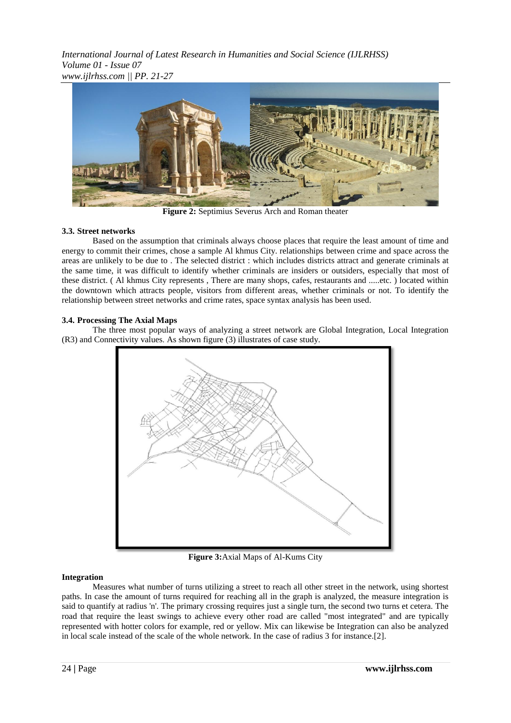

**Figure 2:** Septimius Severus Arch and Roman theater

# **3.3. Street networks**

Based on the assumption that criminals always choose places that require the least amount of time and energy to commit their crimes, chose a sample Al khmus City. relationships between crime and space across the areas are unlikely to be due to . The selected district : which includes districts attract and generate criminals at the same time, it was difficult to identify whether criminals are insiders or outsiders, especially that most of these district. ( Al khmus City represents , There are many shops, cafes, restaurants and .....etc. ) located within the downtown which attracts people, visitors from different areas, whether criminals or not. To identify the relationship between street networks and crime rates, space syntax analysis has been used.

# **3.4. Processing The Axial Maps**

The three most popular ways of analyzing a street network are Global Integration, Local Integration (R3) and Connectivity values. As shown figure (3) illustrates of case study.



**Figure 3:**Axial Maps of Al-Kums City

# **Integration**

Measures what number of turns utilizing a street to reach all other street in the network, using shortest paths. In case the amount of turns required for reaching all in the graph is analyzed, the measure integration is said to quantify at radius 'n'. The primary crossing requires just a single turn, the second two turns et cetera. The road that require the least swings to achieve every other road are called "most integrated" and are typically represented with hotter colors for example, red or yellow. Mix can likewise be Integration can also be analyzed in local scale instead of the scale of the whole network. In the case of radius 3 for instance.[2].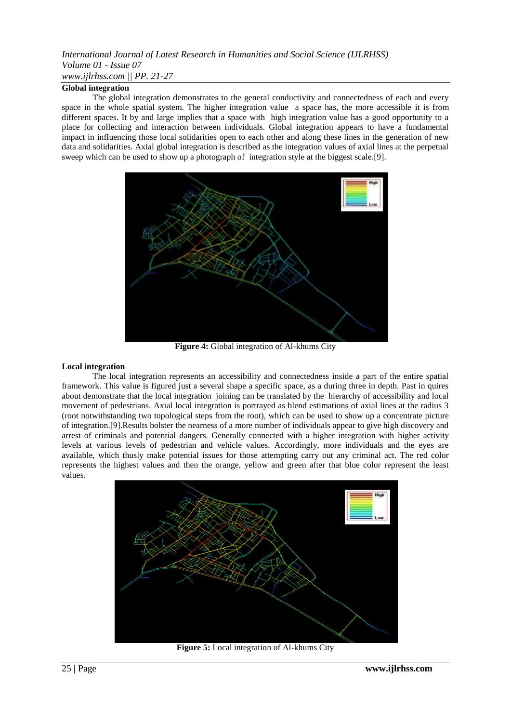#### **Global integration**

The global integration demonstrates to the general conductivity and connectedness of each and every space in the whole spatial system. The higher integration value a space has, the more accessible it is from different spaces. It by and large implies that a space with high integration value has a good opportunity to a place for collecting and interaction between individuals. Global integration appears to have a fundamental impact in influencing those local solidarities open to each other and along these lines in the generation of new data and solidarities. Axial global integration is described as the integration values of axial lines at the perpetual sweep which can be used to show up a photograph of integration style at the biggest scale.[9].



**Figure 4:** Global integration of Al-khums City

#### **Local integration**

The local integration represents an accessibility and connectedness inside a part of the entire spatial framework. This value is figured just a several shape a specific space, as a during three in depth. Past in quires about demonstrate that the local integration joining can be translated by the hierarchy of accessibility and local movement of pedestrians. Axial local integration is portrayed as blend estimations of axial lines at the radius 3 (root notwithstanding two topological steps from the root), which can be used to show up a concentrate picture of integration.[9].Results bolster the nearness of a more number of individuals appear to give high discovery and arrest of criminals and potential dangers. Generally connected with a higher integration with higher activity levels at various levels of pedestrian and vehicle values. Accordingly, more individuals and the eyes are available, which thusly make potential issues for those attempting carry out any criminal act. The red color represents the highest values and then the orange, yellow and green after that blue color represent the least values.



**Figure 5:** Local integration of Al-khums City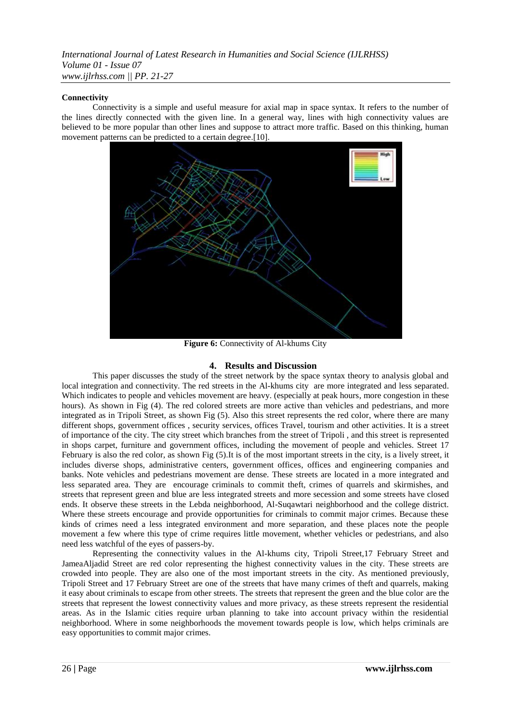## **Connectivity**

Connectivity is a simple and useful measure for axial map in space syntax. It refers to the number of the lines directly connected with the given line. In a general way, lines with high connectivity values are believed to be more popular than other lines and suppose to attract more traffic. Based on this thinking, human movement patterns can be predicted to a certain degree.[10].



**Figure 6:** Connectivity of Al-khums City

# **4. Results and Discussion**

This paper discusses the study of the street network by the space syntax theory to analysis global and local integration and connectivity. The red streets in the Al-khums city are more integrated and less separated. Which indicates to people and vehicles movement are heavy. (especially at peak hours, more congestion in these hours). As shown in Fig (4). The red colored streets are more active than vehicles and pedestrians, and more integrated as in Tripoli Street, as shown Fig (5). Also this street represents the red color, where there are many different shops, government offices , security services, offices Travel, tourism and other activities. It is a street of importance of the city. The city street which branches from the street of Tripoli , and this street is represented in shops carpet, furniture and government offices, including the movement of people and vehicles. Street 17 February is also the red color, as shown Fig (5).It is of the most important streets in the city, is a lively street, it includes diverse shops, administrative centers, government offices, offices and engineering companies and banks. Note vehicles and pedestrians movement are dense. These streets are located in a more integrated and less separated area. They are encourage criminals to commit theft, crimes of quarrels and skirmishes, and streets that represent green and blue are less integrated streets and more secession and some streets have closed ends. It observe these streets in the Lebda neighborhood, Al-Suqawtari neighborhood and the college district. Where these streets encourage and provide opportunities for criminals to commit major crimes. Because these kinds of crimes need a less integrated environment and more separation, and these places note the people movement a few where this type of crime requires little movement, whether vehicles or pedestrians, and also need less watchful of the eyes of passers-by.

Representing the connectivity values in the Al-khums city, Tripoli Street,17 February Street and JameaAljadid Street are red color representing the highest connectivity values in the city. These streets are crowded into people. They are also one of the most important streets in the city. As mentioned previously, Tripoli Street and 17 February Street are one of the streets that have many crimes of theft and quarrels, making it easy about criminals to escape from other streets. The streets that represent the green and the blue color are the streets that represent the lowest connectivity values and more privacy, as these streets represent the residential areas. As in the Islamic cities require urban planning to take into account privacy within the residential neighborhood. Where in some neighborhoods the movement towards people is low, which helps criminals are easy opportunities to commit major crimes.